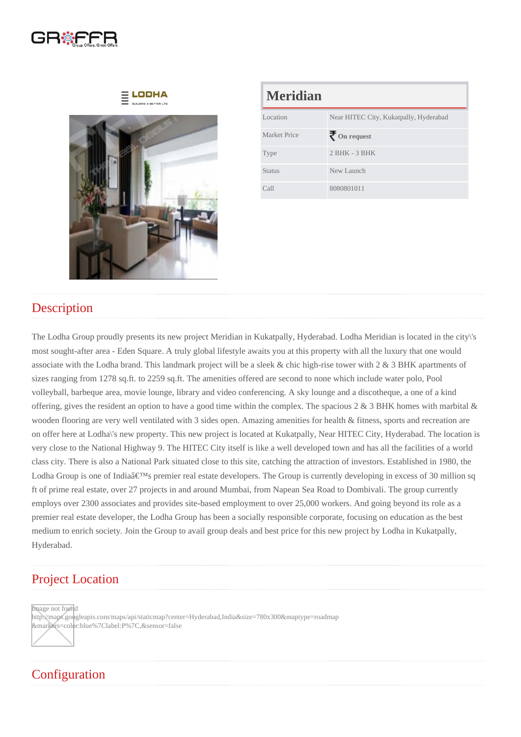| <b>Meridian</b> |                                        |
|-----------------|----------------------------------------|
| Location        | Near HITEC City, Kukatpally, Hyderabad |
| Market Price    | On request                             |
| <b>Type</b>     | $2$ BHK - $3$ BHK                      |
| Status          | New Launch                             |
| Call            | 8080801011                             |

#### **Description**

The Lodha Group proudly presents its new project Meridian in Kukatpally, Hyderabad. Lodha Meridian is located in the city\'s most sought-after area - Eden Square. A truly global lifestyle awaits you at this property with all the luxury that one would associate with the Lodha brand. This landmark project will be a sleek & chic high-rise tower with 2 & 3 BHK apartments of sizes ranging from 1278 sq.ft. to 2259 sq.ft. The amenities offered are second to none which include water polo, Pool volleyball, barbeque area, movie lounge, library and video conferencing. A sky lounge and a discotheque, a one of a kind offering, gives the resident an option to have a good time within the complex. The spacious 2 & 3 BHK homes with marbital & wooden flooring are very well ventilated with 3 sides open. Amazing amenities for health & fitness, sports and recreation are on offer here at Lodha\'s new property. This new project is located at Kukatpally, Near HITEC City, Hyderabad. The location is very close to the National Highway 9. The HITEC City itself is like a well developed town and has all the facilities of a world class city. There is also a National Park situated close to this site, catching the attraction of investors. Established in 1980, the Lodha Group is one of India's premier real estate developers. The Group is currently developing in excess of 30 million sq ft of prime real estate, over 27 projects in and around Mumbai, from Napean Sea Road to Dombivali. The group currently employs over 2300 associates and provides site-based employment to over 25,000 workers. And going beyond its role as a premier real estate developer, the Lodha Group has been a socially responsible corporate, focusing on education as the best medium to enrich society. Join the Group to avail group deals and best price for this new project by Lodha in Kukatpally, Hyderabad.

## Project Location

Image not found

http://maps.googleapis.com/maps/api/staticmap?center=Hyderabad,India&size=780x300&maptype=roadmap &markers=color:blue%7Clabel:P%7C,&sensor=false

# **Configuration**